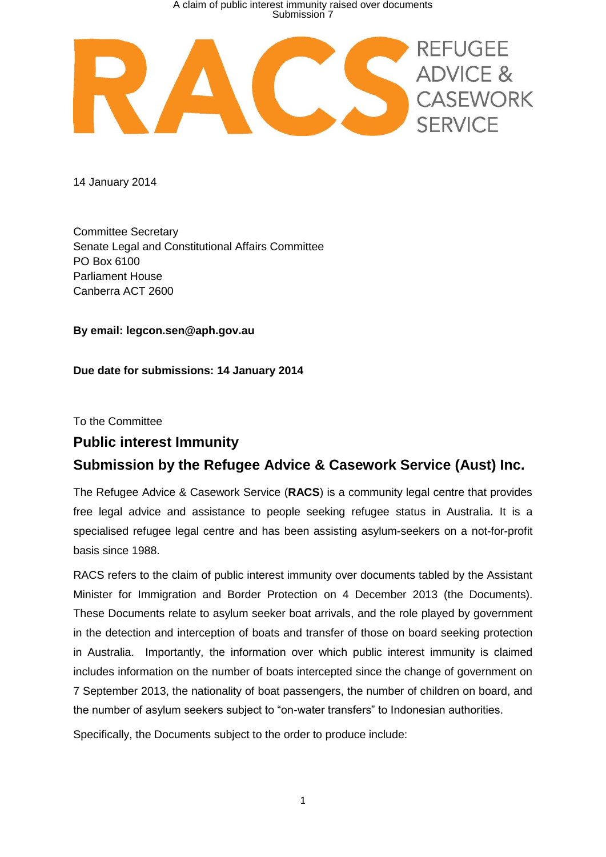

14 January 2014

Committee Secretary Senate Legal and Constitutional Affairs Committee PO Box 6100 Parliament House Canberra ACT 2600

**By email: legcon.sen@aph.gov.au**

### **Due date for submissions: 14 January 2014**

To the Committee

### **Public interest Immunity**

# **Submission by the Refugee Advice & Casework Service (Aust) Inc.**

The Refugee Advice & Casework Service (**RACS**) is a community legal centre that provides free legal advice and assistance to people seeking refugee status in Australia. It is a specialised refugee legal centre and has been assisting asylum-seekers on a not-for-profit basis since 1988.

RACS refers to the claim of public interest immunity over documents tabled by the Assistant Minister for Immigration and Border Protection on 4 December 2013 (the Documents). These Documents relate to asylum seeker boat arrivals, and the role played by government in the detection and interception of boats and transfer of those on board seeking protection in Australia. Importantly, the information over which public interest immunity is claimed includes information on the number of boats intercepted since the change of government on 7 September 2013, the nationality of boat passengers, the number of children on board, and the number of asylum seekers subject to "on-water transfers" to Indonesian authorities.

Specifically, the Documents subject to the order to produce include: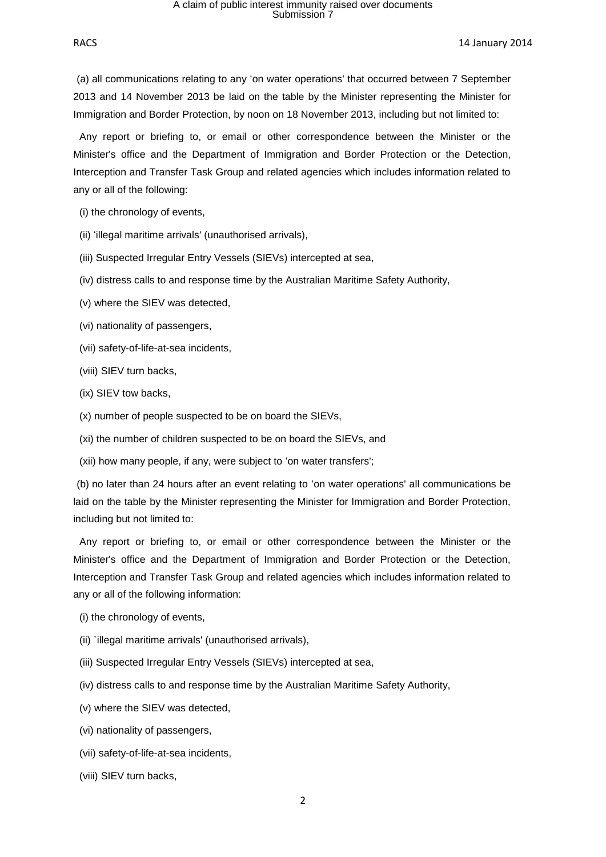RACS 14 January 2014

(a) all communications relating to any 'on water operations' that occurred between 7 September 2013 and 14 November 2013 be laid on the table by the Minister representing the Minister for Immigration and Border Protection, by noon on 18 November 2013, including but not limited to:

 Any report or briefing to, or email or other correspondence between the Minister or the Minister's office and the Department of Immigration and Border Protection or the Detection, Interception and Transfer Task Group and related agencies which includes information related to any or all of the following:

(i) the chronology of events,

(ii) 'illegal maritime arrivals' (unauthorised arrivals),

(iii) Suspected Irregular Entry Vessels (SIEVs) intercepted at sea,

(iv) distress calls to and response time by the Australian Maritime Safety Authority,

(v) where the SIEV was detected,

(vi) nationality of passengers,

(vii) safety-of-life-at-sea incidents,

(viii) SIEV turn backs,

(ix) SIEV tow backs,

(x) number of people suspected to be on board the SIEVs,

(xi) the number of children suspected to be on board the SIEVs, and

(xii) how many people, if any, were subject to 'on water transfers';

(b) no later than 24 hours after an event relating to 'on water operations' all communications be laid on the table by the Minister representing the Minister for Immigration and Border Protection, including but not limited to:

 Any report or briefing to, or email or other correspondence between the Minister or the Minister's office and the Department of Immigration and Border Protection or the Detection, Interception and Transfer Task Group and related agencies which includes information related to any or all of the following information:

(i) the chronology of events,

(ii) `illegal maritime arrivals' (unauthorised arrivals),

(iii) Suspected Irregular Entry Vessels (SIEVs) intercepted at sea,

(iv) distress calls to and response time by the Australian Maritime Safety Authority,

(v) where the SIEV was detected,

(vi) nationality of passengers,

(vii) safety-of-life-at-sea incidents,

(viii) SIEV turn backs,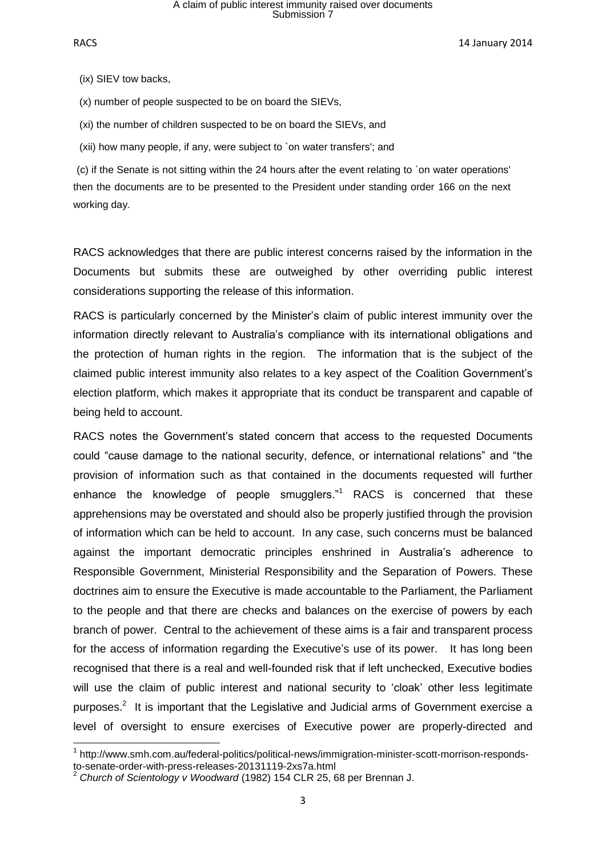RACS 2014 **14 January 2014** 

(ix) SIEV tow backs,

(x) number of people suspected to be on board the SIEVs,

(xi) the number of children suspected to be on board the SIEVs, and

(xii) how many people, if any, were subject to `on water transfers'; and

(c) if the Senate is not sitting within the 24 hours after the event relating to `on water operations' then the documents are to be presented to the President under standing order 166 on the next working day.

RACS acknowledges that there are public interest concerns raised by the information in the Documents but submits these are outweighed by other overriding public interest considerations supporting the release of this information.

RACS is particularly concerned by the Minister's claim of public interest immunity over the information directly relevant to Australia's compliance with its international obligations and the protection of human rights in the region. The information that is the subject of the claimed public interest immunity also relates to a key aspect of the Coalition Government's election platform, which makes it appropriate that its conduct be transparent and capable of being held to account.

RACS notes the Government's stated concern that access to the requested Documents could "cause damage to the national security, defence, or international relations" and "the provision of information such as that contained in the documents requested will further enhance the knowledge of people smugglers."<sup>1</sup> RACS is concerned that these apprehensions may be overstated and should also be properly justified through the provision of information which can be held to account. In any case, such concerns must be balanced against the important democratic principles enshrined in Australia's adherence to Responsible Government, Ministerial Responsibility and the Separation of Powers. These doctrines aim to ensure the Executive is made accountable to the Parliament, the Parliament to the people and that there are checks and balances on the exercise of powers by each branch of power. Central to the achievement of these aims is a fair and transparent process for the access of information regarding the Executive's use of its power. It has long been recognised that there is a real and well-founded risk that if left unchecked, Executive bodies will use the claim of public interest and national security to 'cloak' other less legitimate purposes.<sup>2</sup> It is important that the Legislative and Judicial arms of Government exercise a level of oversight to ensure exercises of Executive power are properly-directed and

 1 http://www.smh.com.au/federal-politics/political-news/immigration-minister-scott-morrison-respondsto-senate-order-with-press-releases-20131119-2xs7a.html

<sup>2</sup> *Church of Scientology v Woodward* (1982) 154 CLR 25, 68 per Brennan J.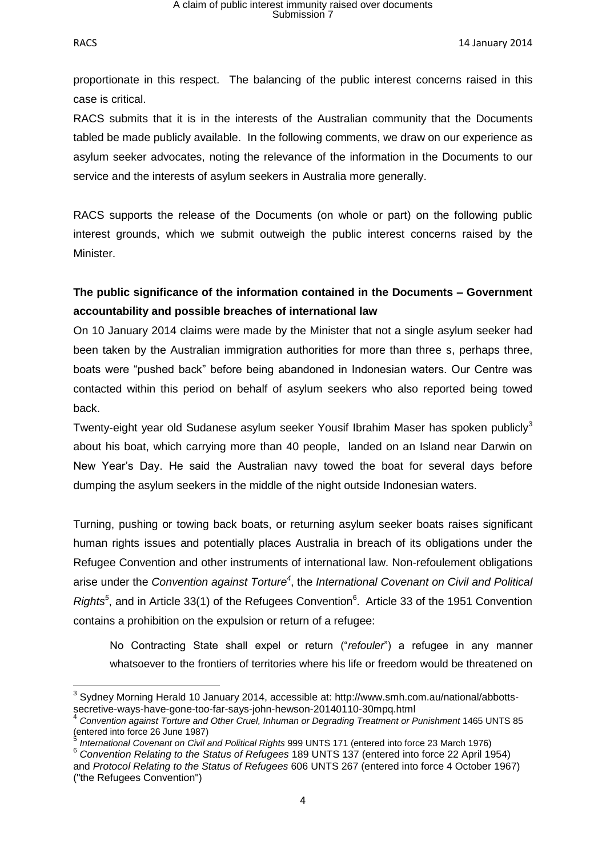RACS 2014 **RACS** 2014

proportionate in this respect. The balancing of the public interest concerns raised in this case is critical.

RACS submits that it is in the interests of the Australian community that the Documents tabled be made publicly available. In the following comments, we draw on our experience as asylum seeker advocates, noting the relevance of the information in the Documents to our service and the interests of asylum seekers in Australia more generally.

RACS supports the release of the Documents (on whole or part) on the following public interest grounds, which we submit outweigh the public interest concerns raised by the Minister.

## **The public significance of the information contained in the Documents – Government accountability and possible breaches of international law**

On 10 January 2014 claims were made by the Minister that not a single asylum seeker had been taken by the Australian immigration authorities for more than three s, perhaps three, boats were "pushed back" before being abandoned in Indonesian waters. Our Centre was contacted within this period on behalf of asylum seekers who also reported being towed back.

Twenty-eight year old Sudanese asylum seeker Yousif Ibrahim Maser has spoken publicly $3$ about his boat, which carrying more than 40 people, landed on an Island near Darwin on New Year's Day. He said the Australian navy towed the boat for several days before dumping the asylum seekers in the middle of the night outside Indonesian waters.

Turning, pushing or towing back boats, or returning asylum seeker boats raises significant human rights issues and potentially places Australia in breach of its obligations under the Refugee Convention and other instruments of international law. Non-refoulement obligations arise under the *Convention against Torture<sup>4</sup>* , the *International Covenant on Civil and Political* Rights<sup>5</sup>, and in Article 33(1) of the Refugees Convention<sup>6</sup>. Article 33 of the 1951 Convention contains a prohibition on the expulsion or return of a refugee:

No Contracting State shall expel or return ("*refouler*") a refugee in any manner whatsoever to the frontiers of territories where his life or freedom would be threatened on

**<sup>.</sup>**  $3$  Sydney Morning Herald 10 January 2014, accessible at: http://www.smh.com.au/national/abbottssecretive-ways-have-gone-too-far-says-john-hewson-20140110-30mpq.html<br>4. Canyantian assist Terture and Other Cruel, Inhuman ar Desreding Treatment ar I

*Convention against Torture and Other Cruel, Inhuman or Degrading Treatment or Punishment* 1465 UNTS 85 (entered into force 26 June 1987)

*International Covenant on Civil and Political Rights* 999 UNTS 171 (entered into force 23 March 1976)

<sup>6</sup> *Convention Relating to the Status of Refugees* 189 UNTS 137 (entered into force 22 April 1954) and *Protocol Relating to the Status of Refugees* 606 UNTS 267 (entered into force 4 October 1967) ("the Refugees Convention")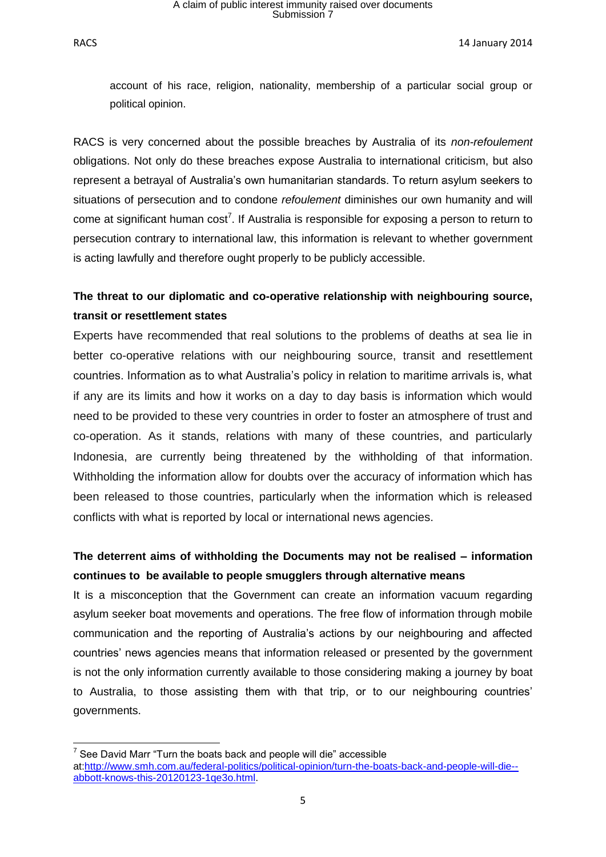account of his race, religion, nationality, membership of a particular social group or political opinion.

RACS is very concerned about the possible breaches by Australia of its *non-refoulement* obligations. Not only do these breaches expose Australia to international criticism, but also represent a betrayal of Australia's own humanitarian standards. To return asylum seekers to situations of persecution and to condone *refoulement* diminishes our own humanity and will come at significant human  $cost^7$ . If Australia is responsible for exposing a person to return to persecution contrary to international law, this information is relevant to whether government is acting lawfully and therefore ought properly to be publicly accessible.

## **The threat to our diplomatic and co-operative relationship with neighbouring source, transit or resettlement states**

Experts have recommended that real solutions to the problems of deaths at sea lie in better co-operative relations with our neighbouring source, transit and resettlement countries. Information as to what Australia's policy in relation to maritime arrivals is, what if any are its limits and how it works on a day to day basis is information which would need to be provided to these very countries in order to foster an atmosphere of trust and co-operation. As it stands, relations with many of these countries, and particularly Indonesia, are currently being threatened by the withholding of that information. Withholding the information allow for doubts over the accuracy of information which has been released to those countries, particularly when the information which is released conflicts with what is reported by local or international news agencies.

## **The deterrent aims of withholding the Documents may not be realised – information continues to be available to people smugglers through alternative means**

It is a misconception that the Government can create an information vacuum regarding asylum seeker boat movements and operations. The free flow of information through mobile communication and the reporting of Australia's actions by our neighbouring and affected countries' news agencies means that information released or presented by the government is not the only information currently available to those considering making a journey by boat to Australia, to those assisting them with that trip, or to our neighbouring countries' governments.

<sup>1</sup>  $7$  See David Marr "Turn the boats back and people will die" accessible at:http://www.smh.com.au/federal-politics/political-opinion/turn-the-boats-back-and-people-will-die- abbott-knows-this-20120123-1qe3o.html.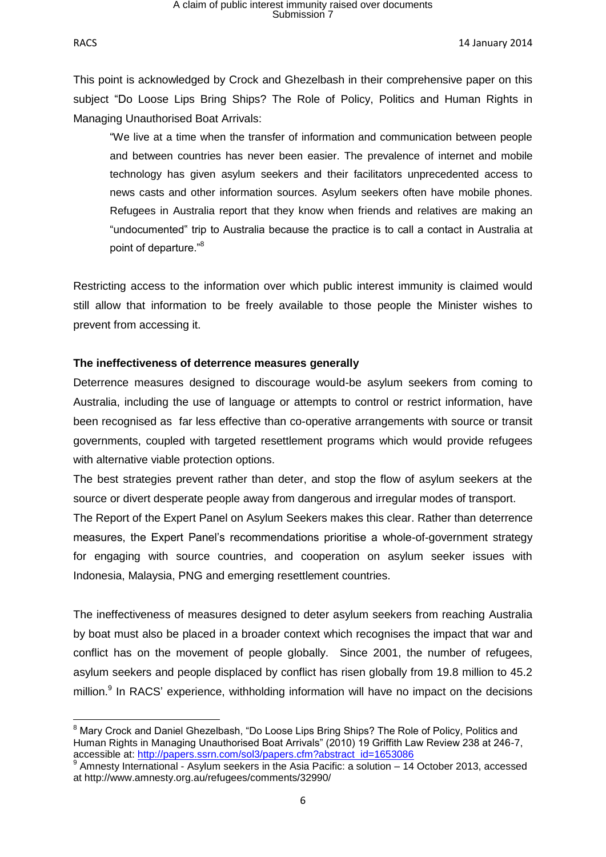**.** 

RACS 2014 **RACS** 2014

This point is acknowledged by Crock and Ghezelbash in their comprehensive paper on this subject "Do Loose Lips Bring Ships? The Role of Policy, Politics and Human Rights in Managing Unauthorised Boat Arrivals:

"We live at a time when the transfer of information and communication between people and between countries has never been easier. The prevalence of internet and mobile technology has given asylum seekers and their facilitators unprecedented access to news casts and other information sources. Asylum seekers often have mobile phones. Refugees in Australia report that they know when friends and relatives are making an "undocumented" trip to Australia because the practice is to call a contact in Australia at point of departure."<sup>8</sup>

Restricting access to the information over which public interest immunity is claimed would still allow that information to be freely available to those people the Minister wishes to prevent from accessing it.

### **The ineffectiveness of deterrence measures generally**

Deterrence measures designed to discourage would-be asylum seekers from coming to Australia, including the use of language or attempts to control or restrict information, have been recognised as far less effective than co-operative arrangements with source or transit governments, coupled with targeted resettlement programs which would provide refugees with alternative viable protection options.

The best strategies prevent rather than deter, and stop the flow of asylum seekers at the source or divert desperate people away from dangerous and irregular modes of transport.

The Report of the Expert Panel on Asylum Seekers makes this clear. Rather than deterrence measures, the Expert Panel's recommendations prioritise a whole-of-government strategy for engaging with source countries, and cooperation on asylum seeker issues with Indonesia, Malaysia, PNG and emerging resettlement countries.

The ineffectiveness of measures designed to deter asylum seekers from reaching Australia by boat must also be placed in a broader context which recognises the impact that war and conflict has on the movement of people globally. Since 2001, the number of refugees, asylum seekers and people displaced by conflict has risen globally from 19.8 million to 45.2 million.<sup>9</sup> In RACS' experience, withholding information will have no impact on the decisions

<sup>&</sup>lt;sup>8</sup> Mary Crock and Daniel Ghezelbash, "Do Loose Lips Bring Ships? The Role of Policy, Politics and Human Rights in Managing Unauthorised Boat Arrivals" (2010) 19 Griffith Law Review 238 at 246-7, accessible at: http://papers.ssrn.com/sol3/papers.cfm?abstract id=1653086

<sup>&</sup>lt;sup>9</sup> Amnesty International - Asylum seekers in the Asia Pacific: a solution – 14 October 2013, accessed at http://www.amnesty.org.au/refugees/comments/32990/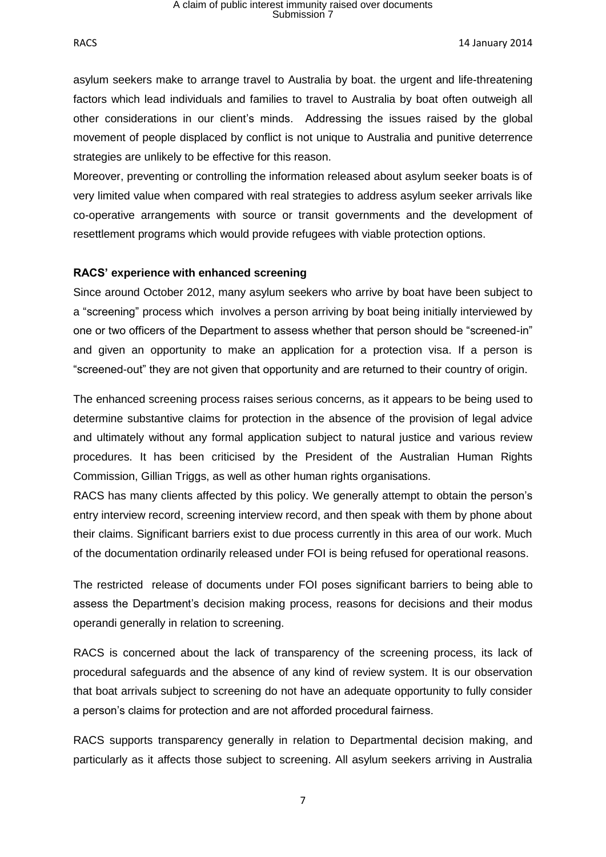RACS 2014 **RACS** 2014

asylum seekers make to arrange travel to Australia by boat. the urgent and life-threatening factors which lead individuals and families to travel to Australia by boat often outweigh all other considerations in our client's minds. Addressing the issues raised by the global movement of people displaced by conflict is not unique to Australia and punitive deterrence strategies are unlikely to be effective for this reason.

Moreover, preventing or controlling the information released about asylum seeker boats is of very limited value when compared with real strategies to address asylum seeker arrivals like co-operative arrangements with source or transit governments and the development of resettlement programs which would provide refugees with viable protection options.

#### **RACS' experience with enhanced screening**

Since around October 2012, many asylum seekers who arrive by boat have been subject to a "screening" process which involves a person arriving by boat being initially interviewed by one or two officers of the Department to assess whether that person should be "screened-in" and given an opportunity to make an application for a protection visa. If a person is "screened-out" they are not given that opportunity and are returned to their country of origin.

The enhanced screening process raises serious concerns, as it appears to be being used to determine substantive claims for protection in the absence of the provision of legal advice and ultimately without any formal application subject to natural justice and various review procedures. It has been criticised by the President of the Australian Human Rights Commission, Gillian Triggs, as well as other human rights organisations.

RACS has many clients affected by this policy. We generally attempt to obtain the person's entry interview record, screening interview record, and then speak with them by phone about their claims. Significant barriers exist to due process currently in this area of our work. Much of the documentation ordinarily released under FOI is being refused for operational reasons.

The restricted release of documents under FOI poses significant barriers to being able to assess the Department's decision making process, reasons for decisions and their modus operandi generally in relation to screening.

RACS is concerned about the lack of transparency of the screening process, its lack of procedural safeguards and the absence of any kind of review system. It is our observation that boat arrivals subject to screening do not have an adequate opportunity to fully consider a person's claims for protection and are not afforded procedural fairness.

RACS supports transparency generally in relation to Departmental decision making, and particularly as it affects those subject to screening. All asylum seekers arriving in Australia

7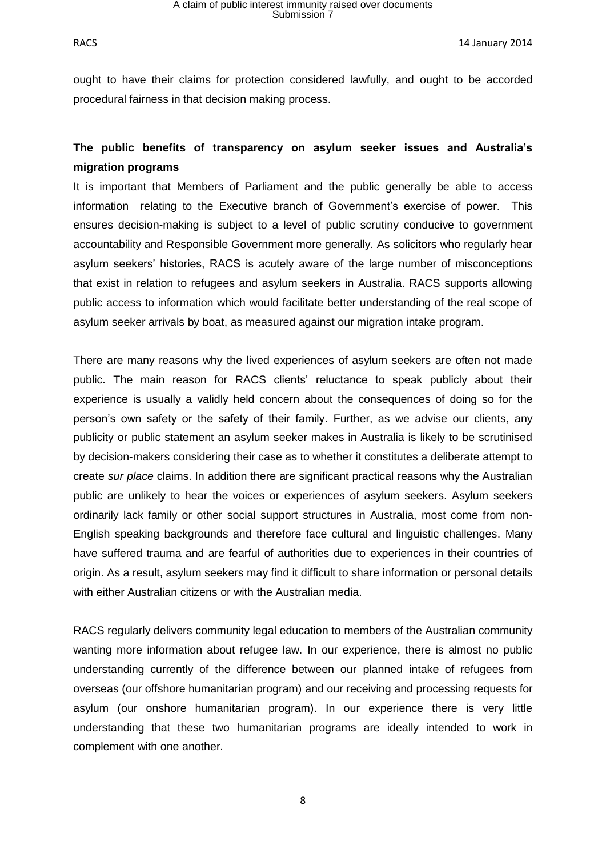RACS 2014 **RACS** 2014

ought to have their claims for protection considered lawfully, and ought to be accorded procedural fairness in that decision making process.

## **The public benefits of transparency on asylum seeker issues and Australia's migration programs**

It is important that Members of Parliament and the public generally be able to access information relating to the Executive branch of Government's exercise of power. This ensures decision-making is subject to a level of public scrutiny conducive to government accountability and Responsible Government more generally. As solicitors who regularly hear asylum seekers' histories, RACS is acutely aware of the large number of misconceptions that exist in relation to refugees and asylum seekers in Australia. RACS supports allowing public access to information which would facilitate better understanding of the real scope of asylum seeker arrivals by boat, as measured against our migration intake program.

There are many reasons why the lived experiences of asylum seekers are often not made public. The main reason for RACS clients' reluctance to speak publicly about their experience is usually a validly held concern about the consequences of doing so for the person's own safety or the safety of their family. Further, as we advise our clients, any publicity or public statement an asylum seeker makes in Australia is likely to be scrutinised by decision-makers considering their case as to whether it constitutes a deliberate attempt to create *sur place* claims. In addition there are significant practical reasons why the Australian public are unlikely to hear the voices or experiences of asylum seekers. Asylum seekers ordinarily lack family or other social support structures in Australia, most come from non-English speaking backgrounds and therefore face cultural and linguistic challenges. Many have suffered trauma and are fearful of authorities due to experiences in their countries of origin. As a result, asylum seekers may find it difficult to share information or personal details with either Australian citizens or with the Australian media.

RACS regularly delivers community legal education to members of the Australian community wanting more information about refugee law. In our experience, there is almost no public understanding currently of the difference between our planned intake of refugees from overseas (our offshore humanitarian program) and our receiving and processing requests for asylum (our onshore humanitarian program). In our experience there is very little understanding that these two humanitarian programs are ideally intended to work in complement with one another.

8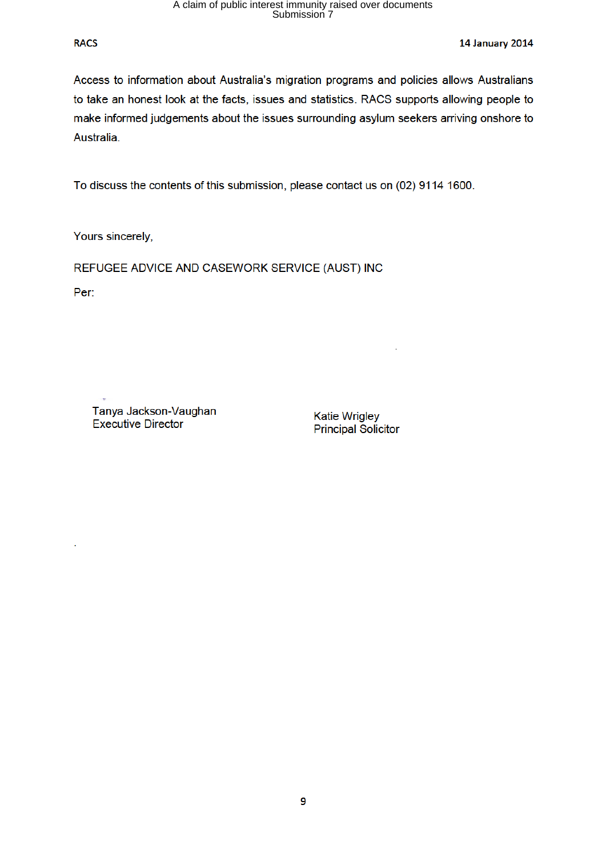#### **RACS**

**14 January 2014** 

Access to information about Australia's migration programs and policies allows Australians to take an honest look at the facts, issues and statistics. RACS supports allowing people to make informed judgements about the issues surrounding asylum seekers arriving onshore to Australia.

To discuss the contents of this submission, please contact us on (02) 9114 1600.

Yours sincerely,

REFUGEE ADVICE AND CASEWORK SERVICE (AUST) INC

Per:

Tanya Jackson-Vaughan **Executive Director** 

**Katie Wrigley Principal Solicitor**